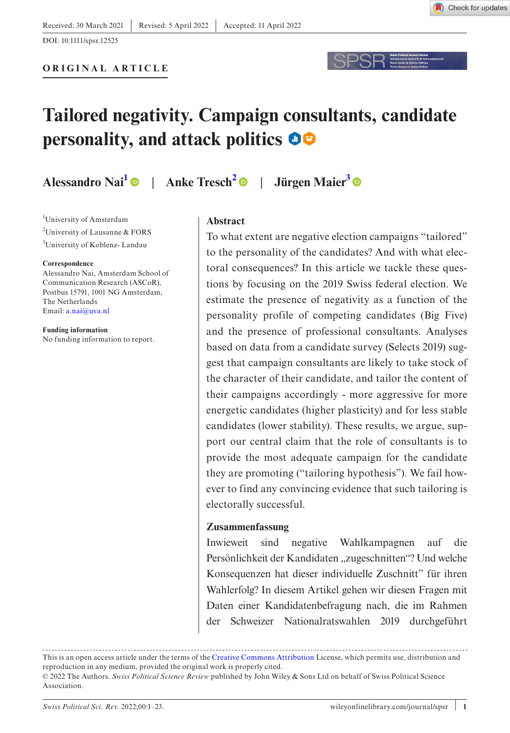

DOI: 10.1111/spsr.12525



**Alessandro Nai[1](#page-0-0)** | **Anke Tresch[2](#page-0-1)** | **Jürgen Maie[r3](#page-0-2)**

<span id="page-0-1"></span><span id="page-0-0"></span><sup>1</sup>University of Amsterdam <sup>2</sup>University of Lausanne & FORS <sup>3</sup>University of Koblenz-Landau

#### <span id="page-0-2"></span>**Correspondence**

Alessandro Nai, Amsterdam School of Communication Research (ASCoR), Postbus 15791, 1001 NG Amsterdam, The Netherlands Email: [a.nai@uva.nl](mailto:a.nai@uva.nl)

**Funding information** No funding information to report.

### **Abstract**

To what extent are negative election campaigns "tailored" to the personality of the candidates? And with what electoral consequences? In this article we tackle these questions by focusing on the 2019 Swiss federal election. We estimate the presence of negativity as a function of the personality profile of competing candidates (Big Five) and the presence of professional consultants. Analyses based on data from a candidate survey (Selects 2019) suggest that campaign consultants are likely to take stock of the character of their candidate, and tailor the content of their campaigns accordingly - more aggressive for more energetic candidates (higher plasticity) and for less stable candidates (lower stability). These results, we argue, support our central claim that the role of consultants is to provide the most adequate campaign for the candidate they are promoting ("tailoring hypothesis"). We fail however to find any convincing evidence that such tailoring is electorally successful.

### **Zusammenfassung**

Inwieweit sind negative Wahlkampagnen auf die Persönlichkeit der Kandidaten "zugeschnitten"? Und welche Konsequenzen hat dieser individuelle Zuschnitt" für ihren Wahlerfolg? In diesem Artikel gehen wir diesen Fragen mit Daten einer Kandidatenbefragung nach, die im Rahmen der Schweizer Nationalratswahlen 2019 durchgeführt

This is an open access article under the terms of the [Creative Commons Attribution](http://creativecommons.org/licenses/by/4.0/) License, which permits use, distribution and reproduction in any medium, provided the original work is properly cited. © 2022 The Authors. *Swiss Political Science Review* published by John Wiley & Sons Ltd on behalf of Swiss Political Science Association.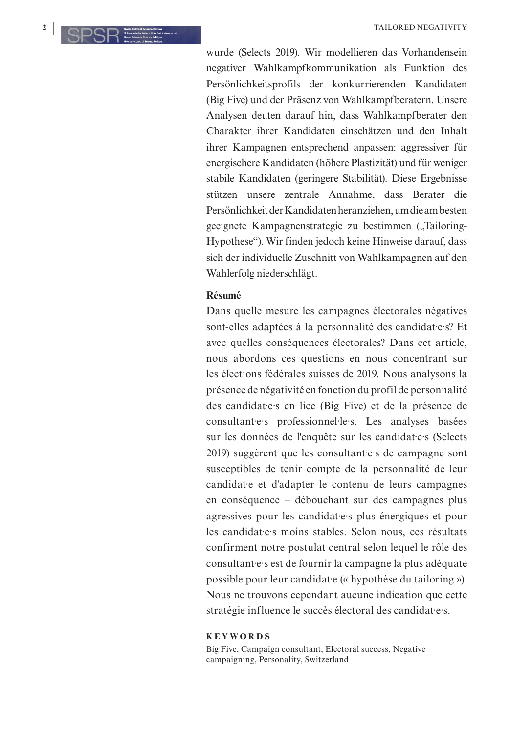wurde (Selects 2019). Wir modellieren das Vorhandensein negativer Wahlkampfkommunikation als Funktion des Persönlichkeitsprofils der konkurrierenden Kandidaten (Big Five) und der Präsenz von Wahlkampfberatern. Unsere Analysen deuten darauf hin, dass Wahlkampfberater den Charakter ihrer Kandidaten einschätzen und den Inhalt ihrer Kampagnen entsprechend anpassen: aggressiver für energischere Kandidaten (höhere Plastizität) und für weniger stabile Kandidaten (geringere Stabilität). Diese Ergebnisse stützen unsere zentrale Annahme, dass Berater die Persönlichkeit der Kandidaten heranziehen, um die am besten geeignete Kampagnenstrategie zu bestimmen ("Tailoring-Hypothese"). Wir finden jedoch keine Hinweise darauf, dass sich der individuelle Zuschnitt von Wahlkampagnen auf den Wahlerfolg niederschlägt.

### **Résumé**

Dans quelle mesure les campagnes électorales négatives sont-elles adaptées à la personnalité des candidat·e·s? Et avec quelles conséquences électorales? Dans cet article, nous abordons ces questions en nous concentrant sur les élections fédérales suisses de 2019. Nous analysons la présence de négativité en fonction du profil de personnalité des candidat·e·s en lice (Big Five) et de la présence de consultant·e·s professionnel·le·s. Les analyses basées sur les données de l'enquête sur les candidat·e·s (Selects 2019) suggèrent que les consultantes de campagne sont susceptibles de tenir compte de la personnalité de leur candidat·e et d'adapter le contenu de leurs campagnes en conséquence – débouchant sur des campagnes plus agressives pour les candidat·e·s plus énergiques et pour les candidat·e·s moins stables. Selon nous, ces résultats confirment notre postulat central selon lequel le rôle des consultant·e·s est de fournir la campagne la plus adéquate possible pour leur candidat·e (« hypothèse du tailoring »). Nous ne trouvons cependant aucune indication que cette stratégie influence le succès électoral des candidat·e·s.

#### **KEYWORDS**

Big Five, Campaign consultant, Electoral success, Negative campaigning, Personality, Switzerland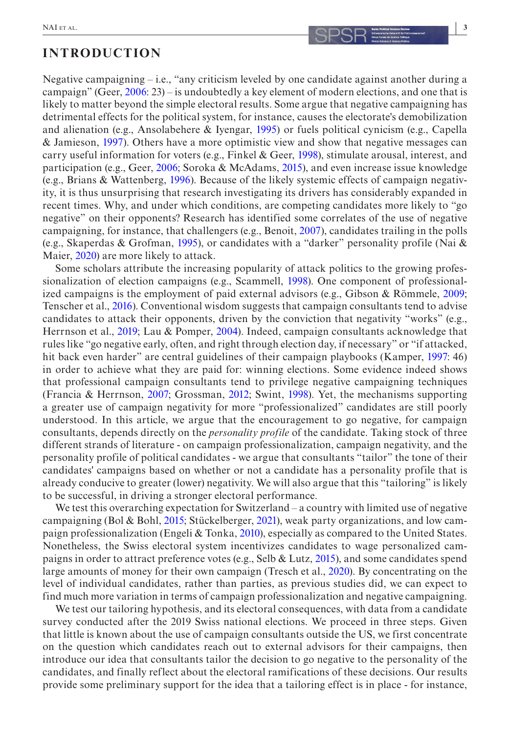Negative campaigning – i.e., "any criticism leveled by one candidate against another during a campaign" (Geer, [2006](#page-19-0): 23) – is undoubtedly a key element of modern elections, and one that is likely to matter beyond the simple electoral results. Some argue that negative campaigning has detrimental effects for the political system, for instance, causes the electorate's demobilization and alienation (e.g., Ansolabehere & Iyengar, [1995\)](#page-19-1) or fuels political cynicism (e.g., Capella & Jamieson, [1997](#page-19-2)). Others have a more optimistic view and show that negative messages can carry useful information for voters (e.g., Finkel & Geer, [1998](#page-19-3)), stimulate arousal, interest, and participation (e.g., Geer, [2006;](#page-19-0) Soroka & McAdams, [2015](#page-21-0)), and even increase issue knowledge (e.g., Brians & Wattenberg, [1996\)](#page-19-4). Because of the likely systemic effects of campaign negativity, it is thus unsurprising that research investigating its drivers has considerably expanded in

recent times. Why, and under which conditions, are competing candidates more likely to "go negative" on their opponents? Research has identified some correlates of the use of negative campaigning, for instance, that challengers (e.g., Benoit, [2007](#page-19-5)), candidates trailing in the polls (e.g., Skaperdas & Grofman, [1995\)](#page-21-1), or candidates with a "darker" personality profile (Nai & Maier, [2020](#page-21-2)) are more likely to attack.

Some scholars attribute the increasing popularity of attack politics to the growing professionalization of election campaigns (e.g., Scammell, [1998](#page-21-3)). One component of professionalized campaigns is the employment of paid external advisors (e.g., Gibson & Römmele, [2009](#page-19-6); Tenscher et al., [2016\)](#page-21-4). Conventional wisdom suggests that campaign consultants tend to advise candidates to attack their opponents, driven by the conviction that negativity "works" (e.g., Herrnson et al., [2019;](#page-20-0) Lau & Pomper, [2004\)](#page-20-1). Indeed, campaign consultants acknowledge that rules like "go negative early, often, and right through election day, if necessary" or "if attacked, hit back even harder" are central guidelines of their campaign playbooks (Kamper, [1997](#page-20-2): 46) in order to achieve what they are paid for: winning elections. Some evidence indeed shows that professional campaign consultants tend to privilege negative campaigning techniques (Francia & Herrnson, [2007;](#page-19-7) Grossman, [2012;](#page-20-3) Swint, [1998\)](#page-21-5). Yet, the mechanisms supporting a greater use of campaign negativity for more "professionalized" candidates are still poorly understood. In this article, we argue that the encouragement to go negative, for campaign consultants, depends directly on the *personality profile* of the candidate. Taking stock of three different strands of literature - on campaign professionalization, campaign negativity, and the personality profile of political candidates - we argue that consultants "tailor" the tone of their candidates' campaigns based on whether or not a candidate has a personality profile that is already conducive to greater (lower) negativity. We will also argue that this "tailoring" is likely to be successful, in driving a stronger electoral performance.

We test this overarching expectation for Switzerland – a country with limited use of negative campaigning (Bol & Bohl, [2015;](#page-19-8) Stückelberger, [2021\)](#page-21-6), weak party organizations, and low campaign professionalization (Engeli & Tonka, [2010\)](#page-19-9), especially as compared to the United States. Nonetheless, the Swiss electoral system incentivizes candidates to wage personalized campaigns in order to attract preference votes (e.g., Selb & Lutz, [2015\)](#page-21-7), and some candidates spend large amounts of money for their own campaign (Tresch et al., [2020](#page-21-8)). By concentrating on the level of individual candidates, rather than parties, as previous studies did, we can expect to find much more variation in terms of campaign professionalization and negative campaigning.

We test our tailoring hypothesis, and its electoral consequences, with data from a candidate survey conducted after the 2019 Swiss national elections. We proceed in three steps. Given that little is known about the use of campaign consultants outside the US, we first concentrate on the question which candidates reach out to external advisors for their campaigns, then introduce our idea that consultants tailor the decision to go negative to the personality of the candidates, and finally reflect about the electoral ramifications of these decisions. Our results provide some preliminary support for the idea that a tailoring effect is in place - for instance,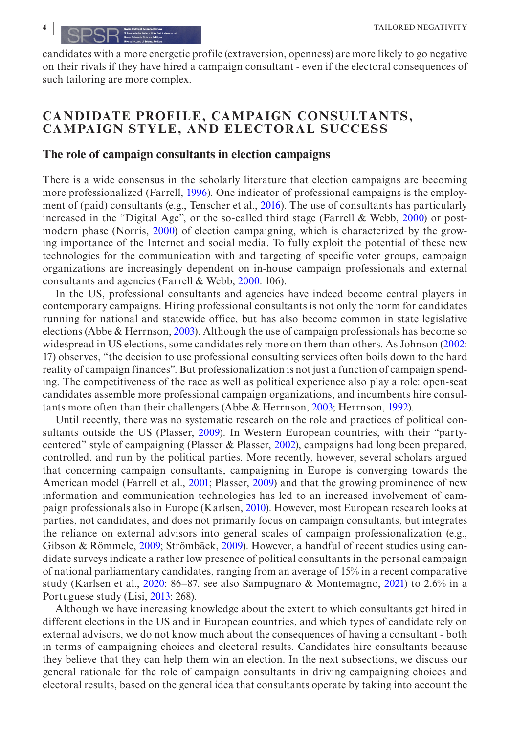candidates with a more energetic profile (extraversion, openness) are more likely to go negative on their rivals if they have hired a campaign consultant - even if the electoral consequences of such tailoring are more complex.

## **CANDIDATE PROFILE, CAMPAIGN CONSULTANTS, CAMPAIGN STYLE , AND ELECTORAL SUCCESS**

### **The role of campaign consultants in election campaigns**

There is a wide consensus in the scholarly literature that election campaigns are becoming more professionalized (Farrell, [1996\)](#page-19-10). One indicator of professional campaigns is the employment of (paid) consultants (e.g., Tenscher et al., [2016\)](#page-21-4). The use of consultants has particularly increased in the "Digital Age", or the so-called third stage (Farrell & Webb, [2000\)](#page-19-11) or postmodern phase (Norris, [2000\)](#page-21-9) of election campaigning, which is characterized by the growing importance of the Internet and social media. To fully exploit the potential of these new technologies for the communication with and targeting of specific voter groups, campaign organizations are increasingly dependent on in-house campaign professionals and external consultants and agencies (Farrell & Webb, [2000:](#page-19-11) 106).

In the US, professional consultants and agencies have indeed become central players in contemporary campaigns. Hiring professional consultants is not only the norm for candidates running for national and statewide office, but has also become common in state legislative elections (Abbe & Herrnson, [2003\)](#page-18-0). Although the use of campaign professionals has become so widespread in US elections, some candidates rely more on them than others. As Johnson [\(2002](#page-20-4): 17) observes, "the decision to use professional consulting services often boils down to the hard reality of campaign finances". But professionalization is not just a function of campaign spending. The competitiveness of the race as well as political experience also play a role: open-seat candidates assemble more professional campaign organizations, and incumbents hire consultants more often than their challengers (Abbe & Herrnson, [2003](#page-18-0); Herrnson, [1992\)](#page-20-5).

Until recently, there was no systematic research on the role and practices of political consultants outside the US (Plasser, [2009\)](#page-21-10). In Western European countries, with their "partycentered" style of campaigning (Plasser & Plasser, [2002\)](#page-21-11), campaigns had long been prepared, controlled, and run by the political parties. More recently, however, several scholars argued that concerning campaign consultants, campaigning in Europe is converging towards the American model (Farrell et al., [2001;](#page-19-12) Plasser, [2009](#page-21-10)) and that the growing prominence of new information and communication technologies has led to an increased involvement of campaign professionals also in Europe (Karlsen, [2010](#page-20-6)). However, most European research looks at parties, not candidates, and does not primarily focus on campaign consultants, but integrates the reliance on external advisors into general scales of campaign professionalization (e.g., Gibson & Römmele, [2009;](#page-19-6) Strömbäck, [2009\)](#page-21-12). However, a handful of recent studies using candidate surveys indicate a rather low presence of political consultants in the personal campaign of national parliamentary candidates, ranging from an average of 15% in a recent comparative study (Karlsen et al., [2020](#page-20-7): 86–87, see also Sampugnaro & Montemagno, [2021](#page-21-13)) to 2.6% in a Portuguese study (Lisi, [2013:](#page-20-8) 268).

Although we have increasing knowledge about the extent to which consultants get hired in different elections in the US and in European countries, and which types of candidate rely on external advisors, we do not know much about the consequences of having a consultant - both in terms of campaigning choices and electoral results. Candidates hire consultants because they believe that they can help them win an election. In the next subsections, we discuss our general rationale for the role of campaign consultants in driving campaigning choices and electoral results, based on the general idea that consultants operate by taking into account the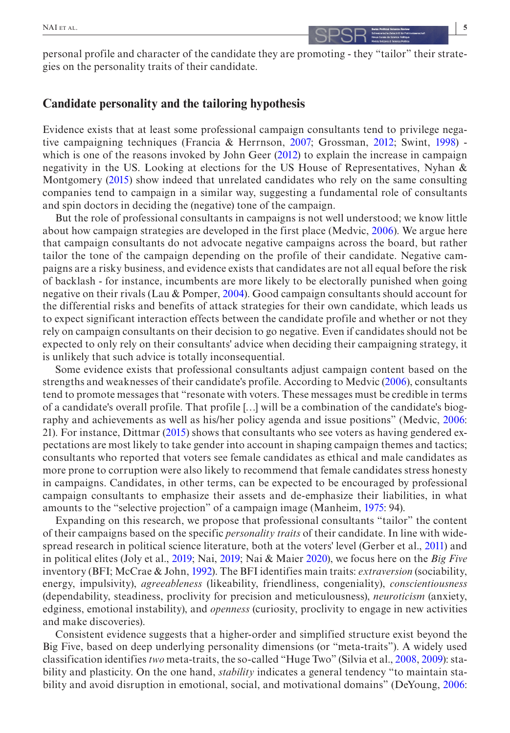personal profile and character of the candidate they are promoting - they "tailor" their strategies on the personality traits of their candidate.

### **Candidate personality and the tailoring hypothesis**

Evidence exists that at least some professional campaign consultants tend to privilege negative campaigning techniques (Francia & Herrnson, [2007](#page-19-7); Grossman, [2012](#page-20-3); Swint, [1998\)](#page-21-5) - which is one of the reasons invoked by John Geer [\(2012\)](#page-19-13) to explain the increase in campaign negativity in the US. Looking at elections for the US House of Representatives, Nyhan & Montgomery [\(2015\)](#page-21-14) show indeed that unrelated candidates who rely on the same consulting companies tend to campaign in a similar way, suggesting a fundamental role of consultants and spin doctors in deciding the (negative) tone of the campaign.

But the role of professional consultants in campaigns is not well understood; we know little about how campaign strategies are developed in the first place (Medvic, [2006](#page-20-9)). We argue here that campaign consultants do not advocate negative campaigns across the board, but rather tailor the tone of the campaign depending on the profile of their candidate. Negative campaigns are a risky business, and evidence exists that candidates are not all equal before the risk of backlash - for instance, incumbents are more likely to be electorally punished when going negative on their rivals (Lau & Pomper, [2004\)](#page-20-1). Good campaign consultants should account for the differential risks and benefits of attack strategies for their own candidate, which leads us to expect significant interaction effects between the candidate profile and whether or not they rely on campaign consultants on their decision to go negative. Even if candidates should not be expected to only rely on their consultants' advice when deciding their campaigning strategy, it is unlikely that such advice is totally inconsequential.

Some evidence exists that professional consultants adjust campaign content based on the strengths and weaknesses of their candidate's profile. According to Medvic [\(2006\)](#page-20-9), consultants tend to promote messages that "resonate with voters. These messages must be credible in terms of a candidate's overall profile. That profile […] will be a combination of the candidate's biography and achievements as well as his/her policy agenda and issue positions" (Medvic, [2006](#page-20-9): 21). For instance, Dittmar ([2015\)](#page-19-14) shows that consultants who see voters as having gendered expectations are most likely to take gender into account in shaping campaign themes and tactics; consultants who reported that voters see female candidates as ethical and male candidates as more prone to corruption were also likely to recommend that female candidates stress honesty in campaigns. Candidates, in other terms, can be expected to be encouraged by professional campaign consultants to emphasize their assets and de-emphasize their liabilities, in what amounts to the "selective projection" of a campaign image (Manheim, [1975:](#page-20-10) 94).

Expanding on this research, we propose that professional consultants "tailor" the content of their campaigns based on the specific *personality traits* of their candidate. In line with widespread research in political science literature, both at the voters' level (Gerber et al., [2011](#page-19-15)) and in political elites (Joly et al., [2019](#page-20-11); Nai, [2019](#page-21-15); Nai & Maier [2020\)](#page-21-2), we focus here on the *Big Five* inventory (BFI; McCrae & John, [1992](#page-20-12)). The BFI identifies main traits: *extraversion* (sociability, energy, impulsivity), *agreeableness* (likeability, friendliness, congeniality), *conscientiousness* (dependability, steadiness, proclivity for precision and meticulousness), *neuroticism* (anxiety, edginess, emotional instability), and *openness* (curiosity, proclivity to engage in new activities and make discoveries).

Consistent evidence suggests that a higher-order and simplified structure exist beyond the Big Five, based on deep underlying personality dimensions (or "meta-traits"). A widely used classification identifies *two* meta-traits, the so-called "Huge Two" (Silvia et al., [2008](#page-21-16), [2009\)](#page-21-17): stability and plasticity. On the one hand, *stability* indicates a general tendency "to maintain stability and avoid disruption in emotional, social, and motivational domains" (DeYoung, [2006](#page-19-16):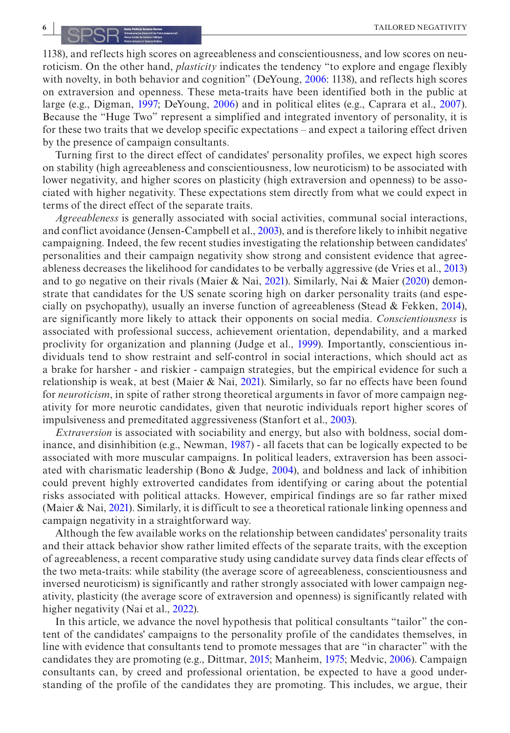1138), and reflects high scores on agreeableness and conscientiousness, and low scores on neuroticism. On the other hand, *plasticity* indicates the tendency "to explore and engage flexibly with novelty, in both behavior and cognition" (DeYoung, [2006](#page-19-16): 1138), and reflects high scores on extraversion and openness. These meta-traits have been identified both in the public at large (e.g., Digman, [1997;](#page-19-17) DeYoung, [2006](#page-19-16)) and in political elites (e.g., Caprara et al., [2007](#page-19-18)). Because the "Huge Two" represent a simplified and integrated inventory of personality, it is for these two traits that we develop specific expectations – and expect a tailoring effect driven by the presence of campaign consultants.

Turning first to the direct effect of candidates' personality profiles, we expect high scores on stability (high agreeableness and conscientiousness, low neuroticism) to be associated with lower negativity, and higher scores on plasticity (high extraversion and openness) to be associated with higher negativity. These expectations stem directly from what we could expect in terms of the direct effect of the separate traits.

*Agreeableness* is generally associated with social activities, communal social interactions, and conflict avoidance (Jensen-Campbell et al., [2003\)](#page-20-13), and is therefore likely to inhibit negative campaigning. Indeed, the few recent studies investigating the relationship between candidates' personalities and their campaign negativity show strong and consistent evidence that agreeableness decreases the likelihood for candidates to be verbally aggressive (de Vries et al., [2013\)](#page-19-19) and to go negative on their rivals (Maier & Nai, [2021\)](#page-20-14). Similarly, Nai & Maier [\(2020](#page-21-2)) demonstrate that candidates for the US senate scoring high on darker personality traits (and especially on psychopathy), usually an inverse function of agreeableness (Stead & Fekken, [2014](#page-21-18)), are significantly more likely to attack their opponents on social media. *Conscientiousness* is associated with professional success, achievement orientation, dependability, and a marked proclivity for organization and planning (Judge et al., [1999\)](#page-20-15). Importantly, conscientious individuals tend to show restraint and self-control in social interactions, which should act as a brake for harsher - and riskier - campaign strategies, but the empirical evidence for such a relationship is weak, at best (Maier & Nai, [2021\)](#page-20-14). Similarly, so far no effects have been found for *neuroticism*, in spite of rather strong theoretical arguments in favor of more campaign negativity for more neurotic candidates, given that neurotic individuals report higher scores of impulsiveness and premeditated aggressiveness (Stanfort et al., [2003\)](#page-21-19).

*Extraversion* is associated with sociability and energy, but also with boldness, social dominance, and disinhibition (e.g., Newman, [1987](#page-21-20)) - all facets that can be logically expected to be associated with more muscular campaigns. In political leaders, extraversion has been associated with charismatic leadership (Bono & Judge, [2004\)](#page-19-20), and boldness and lack of inhibition could prevent highly extroverted candidates from identifying or caring about the potential risks associated with political attacks. However, empirical findings are so far rather mixed (Maier & Nai, [2021](#page-20-14)). Similarly, it is difficult to see a theoretical rationale linking openness and campaign negativity in a straightforward way.

Although the few available works on the relationship between candidates' personality traits and their attack behavior show rather limited effects of the separate traits, with the exception of agreeableness, a recent comparative study using candidate survey data finds clear effects of the two meta-traits: while stability (the average score of agreeableness, conscientiousness and inversed neuroticism) is significantly and rather strongly associated with lower campaign negativity, plasticity (the average score of extraversion and openness) is significantly related with higher negativity (Nai et al., [2022\)](#page-21-21).

In this article, we advance the novel hypothesis that political consultants "tailor" the content of the candidates' campaigns to the personality profile of the candidates themselves, in line with evidence that consultants tend to promote messages that are "in character" with the candidates they are promoting (e.g., Dittmar, [2015](#page-19-14); Manheim, [1975](#page-20-10); Medvic, [2006\)](#page-20-9). Campaign consultants can, by creed and professional orientation, be expected to have a good understanding of the profile of the candidates they are promoting. This includes, we argue, their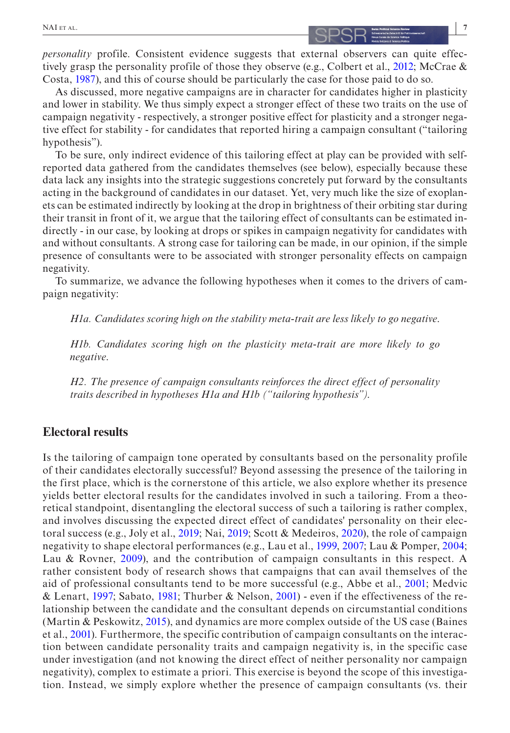*personality* profile. Consistent evidence suggests that external observers can quite effectively grasp the personality profile of those they observe (e.g., Colbert et al., [2012;](#page-19-21) McCrae & Costa, [1987\)](#page-20-16), and this of course should be particularly the case for those paid to do so.

As discussed, more negative campaigns are in character for candidates higher in plasticity and lower in stability. We thus simply expect a stronger effect of these two traits on the use of campaign negativity - respectively, a stronger positive effect for plasticity and a stronger negative effect for stability - for candidates that reported hiring a campaign consultant ("tailoring hypothesis").

To be sure, only indirect evidence of this tailoring effect at play can be provided with selfreported data gathered from the candidates themselves (see below), especially because these data lack any insights into the strategic suggestions concretely put forward by the consultants acting in the background of candidates in our dataset. Yet, very much like the size of exoplanets can be estimated indirectly by looking at the drop in brightness of their orbiting star during their transit in front of it, we argue that the tailoring effect of consultants can be estimated indirectly - in our case, by looking at drops or spikes in campaign negativity for candidates with and without consultants. A strong case for tailoring can be made, in our opinion, if the simple presence of consultants were to be associated with stronger personality effects on campaign negativity.

To summarize, we advance the following hypotheses when it comes to the drivers of campaign negativity:

*H1a. Candidates scoring high on the stability meta-trait are less likely to go negative*.

*H1b. Candidates scoring high on the plasticity meta-trait are more likely to go negative*.

*H2. The presence of campaign consultants reinforces the direct effect of personality traits described in hypotheses H1a and H1b ("tailoring hypothesis")*.

## **Electoral results**

Is the tailoring of campaign tone operated by consultants based on the personality profile of their candidates electorally successful? Beyond assessing the presence of the tailoring in the first place, which is the cornerstone of this article, we also explore whether its presence yields better electoral results for the candidates involved in such a tailoring. From a theoretical standpoint, disentangling the electoral success of such a tailoring is rather complex, and involves discussing the expected direct effect of candidates' personality on their electoral success (e.g., Joly et al., [2019](#page-20-11); Nai, [2019;](#page-21-15) Scott & Medeiros, [2020\)](#page-21-22), the role of campaign negativity to shape electoral performances (e.g., Lau et al., [1999](#page-20-17), [2007;](#page-20-18) Lau & Pomper, [2004](#page-20-1); Lau & Rovner, [2009](#page-20-19)), and the contribution of campaign consultants in this respect. A rather consistent body of research shows that campaigns that can avail themselves of the aid of professional consultants tend to be more successful (e.g., Abbe et al., [2001;](#page-19-22) Medvic & Lenart, [1997](#page-20-20); Sabato, [1981;](#page-21-23) Thurber & Nelson, [2001](#page-21-24)) - even if the effectiveness of the relationship between the candidate and the consultant depends on circumstantial conditions (Martin & Peskowitz, [2015](#page-20-21)), and dynamics are more complex outside of the US case (Baines et al., [2001\)](#page-19-23). Furthermore, the specific contribution of campaign consultants on the interaction between candidate personality traits and campaign negativity is, in the specific case under investigation (and not knowing the direct effect of neither personality nor campaign negativity), complex to estimate a priori. This exercise is beyond the scope of this investigation. Instead, we simply explore whether the presence of campaign consultants (vs. their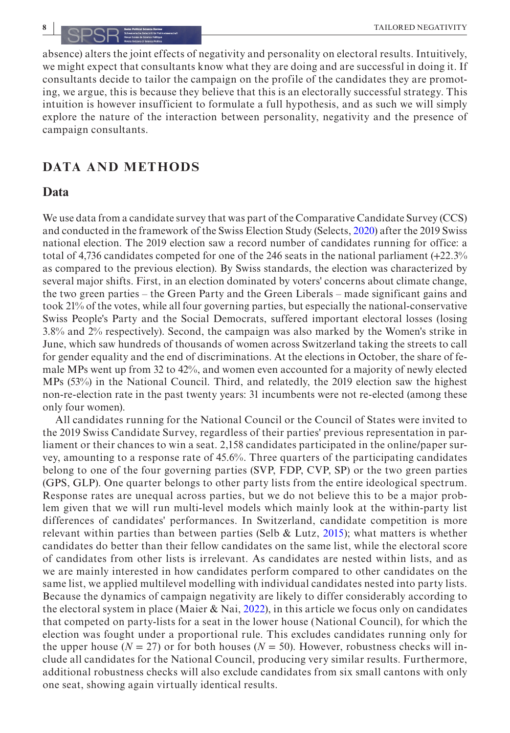absence) alters the joint effects of negativity and personality on electoral results. Intuitively, we might expect that consultants know what they are doing and are successful in doing it. If consultants decide to tailor the campaign on the profile of the candidates they are promoting, we argue, this is because they believe that this is an electorally successful strategy. This intuition is however insufficient to formulate a full hypothesis, and as such we will simply explore the nature of the interaction between personality, negativity and the presence of campaign consultants.

### **DATA AND METHODS**

### **Data**

We use data from a candidate survey that was part of the Comparative Candidate Survey (CCS) and conducted in the framework of the Swiss Election Study (Selects, [2020\)](#page-21-25) after the 2019 Swiss national election. The 2019 election saw a record number of candidates running for office: a total of 4,736 candidates competed for one of the 246 seats in the national parliament (+22.3% as compared to the previous election). By Swiss standards, the election was characterized by several major shifts. First, in an election dominated by voters' concerns about climate change, the two green parties – the Green Party and the Green Liberals – made significant gains and took 21% of the votes, while all four governing parties, but especially the national-conservative Swiss People's Party and the Social Democrats, suffered important electoral losses (losing 3.8% and 2% respectively). Second, the campaign was also marked by the Women's strike in June, which saw hundreds of thousands of women across Switzerland taking the streets to call for gender equality and the end of discriminations. At the elections in October, the share of female MPs went up from 32 to 42%, and women even accounted for a majority of newly elected MPs (53%) in the National Council. Third, and relatedly, the 2019 election saw the highest non-re-election rate in the past twenty years: 31 incumbents were not re-elected (among these only four women).

All candidates running for the National Council or the Council of States were invited to the 2019 Swiss Candidate Survey, regardless of their parties' previous representation in parliament or their chances to win a seat. 2,158 candidates participated in the online/paper survey, amounting to a response rate of 45.6%. Three quarters of the participating candidates belong to one of the four governing parties (SVP, FDP, CVP, SP) or the two green parties (GPS, GLP). One quarter belongs to other party lists from the entire ideological spectrum. Response rates are unequal across parties, but we do not believe this to be a major problem given that we will run multi-level models which mainly look at the within-party list differences of candidates' performances. In Switzerland, candidate competition is more relevant within parties than between parties (Selb & Lutz,  $2015$ ); what matters is whether candidates do better than their fellow candidates on the same list, while the electoral score of candidates from other lists is irrelevant. As candidates are nested within lists, and as we are mainly interested in how candidates perform compared to other candidates on the same list, we applied multilevel modelling with individual candidates nested into party lists. Because the dynamics of campaign negativity are likely to differ considerably according to the electoral system in place (Maier & Nai, [2022\)](#page-20-22), in this article we focus only on candidates that competed on party-lists for a seat in the lower house (National Council), for which the election was fought under a proportional rule. This excludes candidates running only for the upper house ( $N = 27$ ) or for both houses ( $N = 50$ ). However, robustness checks will include all candidates for the National Council, producing very similar results. Furthermore, additional robustness checks will also exclude candidates from six small cantons with only one seat, showing again virtually identical results.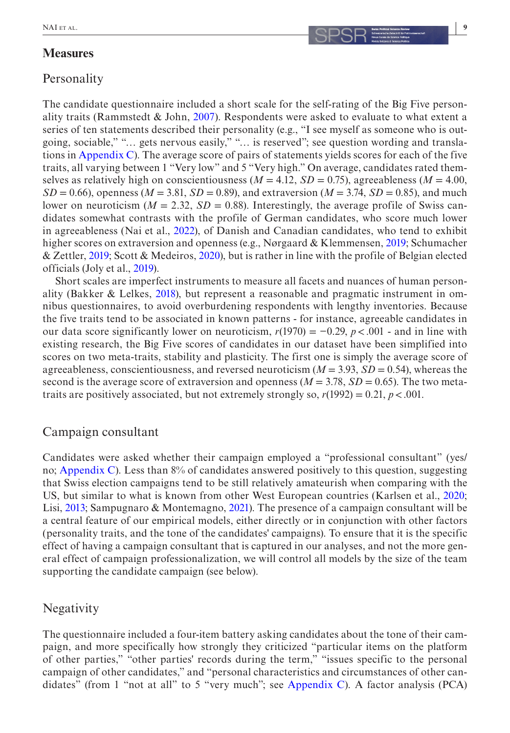## **Measures**

## **Personality**

The candidate questionnaire included a short scale for the self-rating of the Big Five person-ality traits (Rammstedt & John, [2007](#page-21-26)). Respondents were asked to evaluate to what extent a series of ten statements described their personality (e.g., "I see myself as someone who is outgoing, sociable," "… gets nervous easily," "… is reserved"; see question wording and translations in [Appendix C](#page-22-0)). The average score of pairs of statements yields scores for each of the five traits, all varying between 1 "Very low" and 5 "Very high." On average, candidates rated themselves as relatively high on conscientiousness ( $M = 4.12$ ,  $SD = 0.75$ ), agreeableness ( $M = 4.00$ ,  $SD = 0.66$ ), openness ( $M = 3.81$ ,  $SD = 0.89$ ), and extraversion ( $M = 3.74$ ,  $SD = 0.85$ ), and much lower on neuroticism ( $M = 2.32$ ,  $SD = 0.88$ ). Interestingly, the average profile of Swiss candidates somewhat contrasts with the profile of German candidates, who score much lower in agreeableness (Nai et al., [2022\)](#page-21-21), of Danish and Canadian candidates, who tend to exhibit higher scores on extraversion and openness (e.g., Nørgaard & Klemmensen, [2019;](#page-21-27) Schumacher & Zettler, [2019;](#page-21-28) Scott & Medeiros, [2020\)](#page-21-22), but is rather in line with the profile of Belgian elected officials (Joly et al., [2019\)](#page-20-11).

Short scales are imperfect instruments to measure all facets and nuances of human personality (Bakker & Lelkes, [2018\)](#page-19-24), but represent a reasonable and pragmatic instrument in omnibus questionnaires, to avoid overburdening respondents with lengthy inventories. Because the five traits tend to be associated in known patterns - for instance, agreeable candidates in our data score significantly lower on neuroticism,  $r(1970) = -0.29$ ,  $p < .001$  - and in line with existing research, the Big Five scores of candidates in our dataset have been simplified into scores on two meta-traits, stability and plasticity. The first one is simply the average score of agreeableness, conscientiousness, and reversed neuroticism (*M* = 3.93, *SD* = 0.54), whereas the second is the average score of extraversion and openness ( $M = 3.78$ ,  $SD = 0.65$ ). The two metatraits are positively associated, but not extremely strongly so,  $r(1992) = 0.21$ ,  $p < .001$ .

## Campaign consultant

Candidates were asked whether their campaign employed a "professional consultant" (yes/ no; [Appendix C\)](#page-22-0). Less than 8% of candidates answered positively to this question, suggesting that Swiss election campaigns tend to be still relatively amateurish when comparing with the US, but similar to what is known from other West European countries (Karlsen et al., [2020](#page-20-7); Lisi, [2013;](#page-20-8) Sampugnaro & Montemagno, [2021\)](#page-21-13). The presence of a campaign consultant will be a central feature of our empirical models, either directly or in conjunction with other factors (personality traits, and the tone of the candidates' campaigns). To ensure that it is the specific effect of having a campaign consultant that is captured in our analyses, and not the more general effect of campaign professionalization, we will control all models by the size of the team supporting the candidate campaign (see below).

### **Negativity**

The questionnaire included a four-item battery asking candidates about the tone of their campaign, and more specifically how strongly they criticized "particular items on the platform of other parties," "other parties' records during the term," "issues specific to the personal campaign of other candidates," and "personal characteristics and circumstances of other can-didates" (from 1 "not at all" to 5 "very much"; see [Appendix C\)](#page-22-0). A factor analysis (PCA)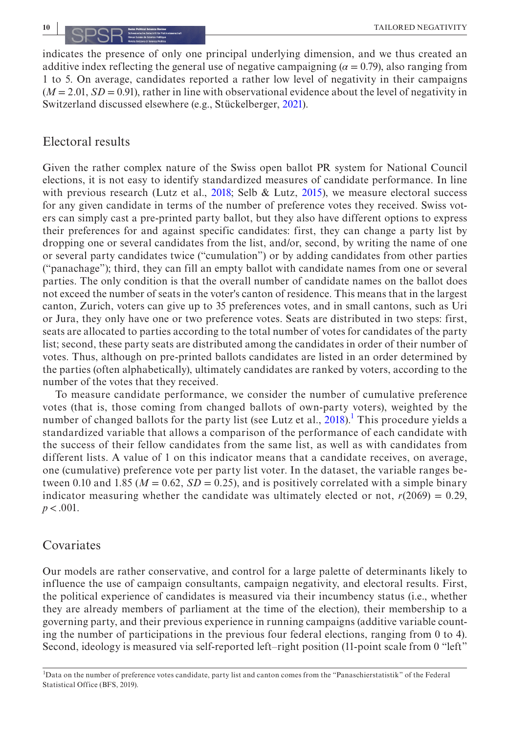indicates the presence of only one principal underlying dimension, and we thus created an additive index reflecting the general use of negative campaigning  $(a = 0.79)$ , also ranging from 1 to 5. On average, candidates reported a rather low level of negativity in their campaigns  $(M = 2.01, SD = 0.91)$ , rather in line with observational evidence about the level of negativity in Switzerland discussed elsewhere (e.g., Stückelberger, [2021](#page-21-6)).

## Electoral results

Given the rather complex nature of the Swiss open ballot PR system for National Council elections, it is not easy to identify standardized measures of candidate performance. In line with previous research (Lutz et al.,  $2018$ ; Selb & Lutz,  $2015$ ), we measure electoral success for any given candidate in terms of the number of preference votes they received. Swiss voters can simply cast a pre-printed party ballot, but they also have different options to express their preferences for and against specific candidates: first, they can change a party list by dropping one or several candidates from the list, and/or, second, by writing the name of one or several party candidates twice ("cumulation") or by adding candidates from other parties ("panachage"); third, they can fill an empty ballot with candidate names from one or several parties. The only condition is that the overall number of candidate names on the ballot does not exceed the number of seats in the voter's canton of residence. This means that in the largest canton, Zurich, voters can give up to 35 preferences votes, and in small cantons, such as Uri or Jura, they only have one or two preference votes. Seats are distributed in two steps: first, seats are allocated to parties according to the total number of votes for candidates of the party list; second, these party seats are distributed among the candidates in order of their number of votes. Thus, although on pre-printed ballots candidates are listed in an order determined by the parties (often alphabetically), ultimately candidates are ranked by voters, according to the number of the votes that they received.

To measure candidate performance, we consider the number of cumulative preference votes (that is, those coming from changed ballots of own-party voters), weighted by the number of changed ballots for the party list (see Lutz et al., [2018\)](#page-20-23).<sup>1</sup> This procedure yields a standardized variable that allows a comparison of the performance of each candidate with the success of their fellow candidates from the same list, as well as with candidates from different lists. A value of 1 on this indicator means that a candidate receives, on average, one (cumulative) preference vote per party list voter. In the dataset, the variable ranges between 0.10 and 1.85 ( $M = 0.62$ ,  $SD = 0.25$ ), and is positively correlated with a simple binary indicator measuring whether the candidate was ultimately elected or not,  $r(2069) = 0.29$ , *p*<.001.

### Covariates

Our models are rather conservative, and control for a large palette of determinants likely to influence the use of campaign consultants, campaign negativity, and electoral results. First, the political experience of candidates is measured via their incumbency status (i.e., whether they are already members of parliament at the time of the election), their membership to a governing party, and their previous experience in running campaigns (additive variable counting the number of participations in the previous four federal elections, ranging from 0 to 4). Second, ideology is measured via self-reported left–right position (11-point scale from 0 "left"

<span id="page-9-0"></span><sup>&</sup>lt;sup>1</sup>Data on the number of preference votes candidate, party list and canton comes from the "Panaschierstatistik" of the Federal Statistical Office (BFS, 2019).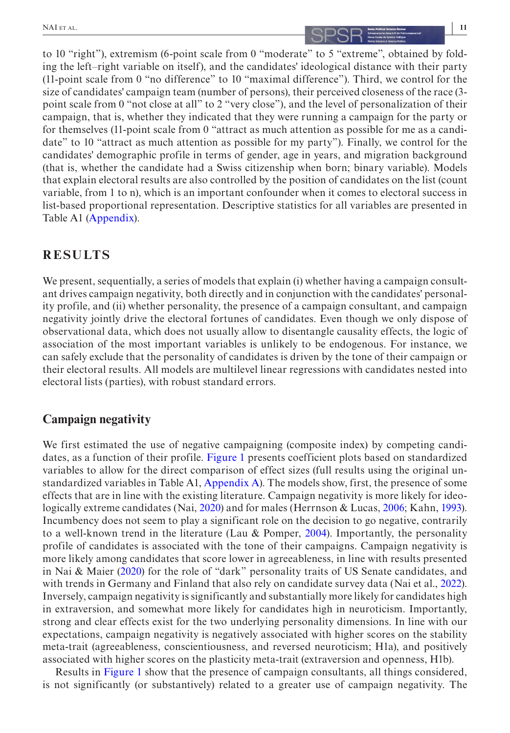# **NAI** ET AL. **11**

to 10 "right"), extremism (6-point scale from 0 "moderate" to 5 "extreme", obtained by folding the left–right variable on itself), and the candidates' ideological distance with their party (11-point scale from 0 "no difference" to 10 "maximal difference"). Third, we control for the size of candidates' campaign team (number of persons), their perceived closeness of the race (3 point scale from 0 "not close at all" to 2 "very close"), and the level of personalization of their campaign, that is, whether they indicated that they were running a campaign for the party or for themselves (11-point scale from 0 "attract as much attention as possible for me as a candidate" to 10 "attract as much attention as possible for my party"). Finally, we control for the candidates' demographic profile in terms of gender, age in years, and migration background (that is, whether the candidate had a Swiss citizenship when born; binary variable). Models that explain electoral results are also controlled by the position of candidates on the list (count variable, from 1 to n), which is an important confounder when it comes to electoral success in list-based proportional representation. Descriptive statistics for all variables are presented in Table A1 [\(Appendix](#page-22-0)).

## **RESULTS**

We present, sequentially, a series of models that explain (i) whether having a campaign consultant drives campaign negativity, both directly and in conjunction with the candidates' personality profile, and (ii) whether personality, the presence of a campaign consultant, and campaign negativity jointly drive the electoral fortunes of candidates. Even though we only dispose of observational data, which does not usually allow to disentangle causality effects, the logic of association of the most important variables is unlikely to be endogenous. For instance, we can safely exclude that the personality of candidates is driven by the tone of their campaign or their electoral results. All models are multilevel linear regressions with candidates nested into electoral lists (parties), with robust standard errors.

## **Campaign negativity**

We first estimated the use of negative campaigning (composite index) by competing candidates, as a function of their profile. Figure [1](#page-11-0) presents coefficient plots based on standardized variables to allow for the direct comparison of effect sizes (full results using the original unstandardized variables in Table A1, [Appendix A](#page-22-0)). The models show, first, the presence of some effects that are in line with the existing literature. Campaign negativity is more likely for ideologically extreme candidates (Nai, [2020](#page-21-29)) and for males (Herrnson & Lucas, [2006](#page-20-24); Kahn, [1993](#page-20-25)). Incumbency does not seem to play a significant role on the decision to go negative, contrarily to a well-known trend in the literature (Lau & Pomper, [2004](#page-20-1)). Importantly, the personality profile of candidates is associated with the tone of their campaigns. Campaign negativity is more likely among candidates that score lower in agreeableness, in line with results presented in Nai & Maier [\(2020](#page-21-2)) for the role of "dark" personality traits of US Senate candidates, and with trends in Germany and Finland that also rely on candidate survey data (Nai et al., [2022](#page-21-21)). Inversely, campaign negativity is significantly and substantially more likely for candidates high in extraversion, and somewhat more likely for candidates high in neuroticism. Importantly, strong and clear effects exist for the two underlying personality dimensions. In line with our expectations, campaign negativity is negatively associated with higher scores on the stability meta-trait (agreeableness, conscientiousness, and reversed neuroticism; H1a), and positively associated with higher scores on the plasticity meta-trait (extraversion and openness, H1b).

Results in Figure [1](#page-11-0) show that the presence of campaign consultants, all things considered, is not significantly (or substantively) related to a greater use of campaign negativity. The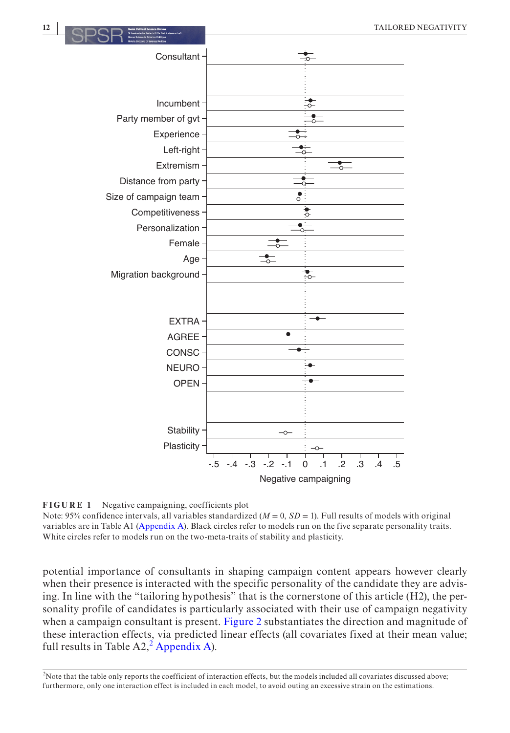

<span id="page-11-0"></span>**FIGURE 1** Negative campaigning, coefficients plot

Note: 95% confidence intervals, all variables standardized  $(M = 0, SD = 1)$ . Full results of models with original variables are in Table A1 [\(Appendix A\)](#page-22-0). Black circles refer to models run on the five separate personality traits. White circles refer to models run on the two-meta-traits of stability and plasticity.

potential importance of consultants in shaping campaign content appears however clearly when their presence is interacted with the specific personality of the candidate they are advising. In line with the "tailoring hypothesis" that is the cornerstone of this article (H2), the personality profile of candidates is particularly associated with their use of campaign negativity when a campaign consultant is present. Figure [2](#page-12-0) substantiates the direction and magnitude of these interaction effects, via predicted linear effects (all covariates fixed at their mean value; full results in Table  $A2<sup>2</sup>$  $A2<sup>2</sup>$  $A2<sup>2</sup>$  [Appendix A\)](#page-22-0).

<span id="page-11-1"></span><sup>2</sup>Note that the table only reports the coefficient of interaction effects, but the models included all covariates discussed above; furthermore, only one interaction effect is included in each model, to avoid outing an excessive strain on the estimations.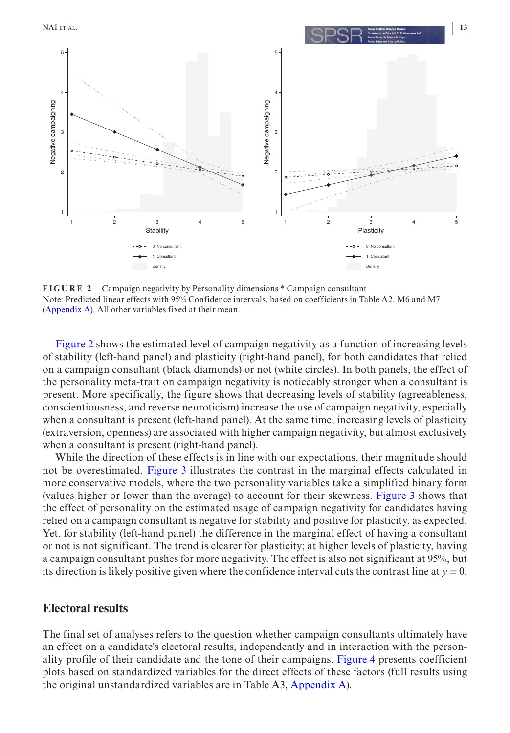

<span id="page-12-0"></span>**FIGURE 2** Campaign negativity by Personality dimensions \* Campaign consultant Note: Predicted linear effects with 95% Confidence intervals, based on coefficients in Table A2, M6 and M7 [\(Appendix A\)](#page-22-0). All other variables fixed at their mean.

Figure [2](#page-12-0) shows the estimated level of campaign negativity as a function of increasing levels of stability (left-hand panel) and plasticity (right-hand panel), for both candidates that relied on a campaign consultant (black diamonds) or not (white circles). In both panels, the effect of the personality meta-trait on campaign negativity is noticeably stronger when a consultant is present. More specifically, the figure shows that decreasing levels of stability (agreeableness, conscientiousness, and reverse neuroticism) increase the use of campaign negativity, especially when a consultant is present (left-hand panel). At the same time, increasing levels of plasticity (extraversion, openness) are associated with higher campaign negativity, but almost exclusively when a consultant is present (right-hand panel).

While the direction of these effects is in line with our expectations, their magnitude should not be overestimated. Figure [3](#page-13-0) illustrates the contrast in the marginal effects calculated in more conservative models, where the two personality variables take a simplified binary form (values higher or lower than the average) to account for their skewness. Figure [3](#page-13-0) shows that the effect of personality on the estimated usage of campaign negativity for candidates having relied on a campaign consultant is negative for stability and positive for plasticity, as expected. Yet, for stability (left-hand panel) the difference in the marginal effect of having a consultant or not is not significant. The trend is clearer for plasticity; at higher levels of plasticity, having a campaign consultant pushes for more negativity. The effect is also not significant at 95%, but its direction is likely positive given where the confidence interval cuts the contrast line at  $y = 0$ .

### **Electoral results**

The final set of analyses refers to the question whether campaign consultants ultimately have an effect on a candidate's electoral results, independently and in interaction with the personality profile of their candidate and the tone of their campaigns. Figure [4](#page-14-0) presents coefficient plots based on standardized variables for the direct effects of these factors (full results using the original unstandardized variables are in Table A3, [Appendix A\)](#page-22-0).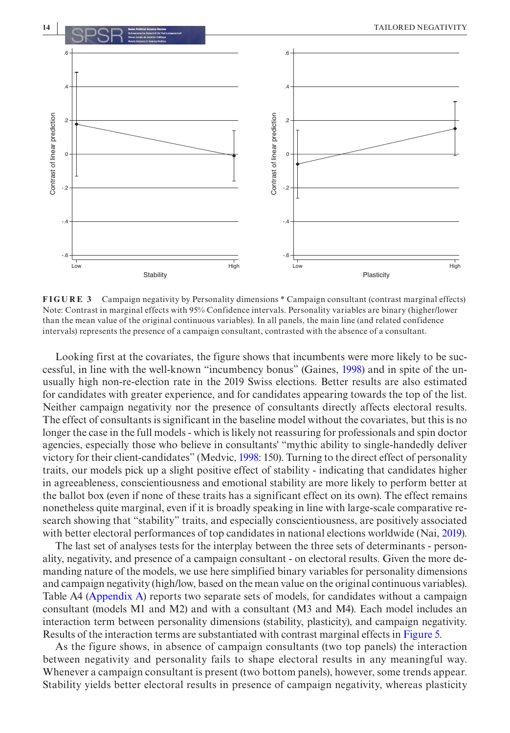

<span id="page-13-0"></span>**FIGURE 3** Campaign negativity by Personality dimensions \* Campaign consultant (contrast marginal effects) Note: Contrast in marginal effects with 95% Confidence intervals. Personality variables are binary (higher/lower than the mean value of the original continuous variables). In all panels, the main line (and related confidence intervals) represents the presence of a campaign consultant, contrasted with the absence of a consultant.

Looking first at the covariates, the figure shows that incumbents were more likely to be successful, in line with the well-known "incumbency bonus" (Gaines, [1998\)](#page-19-25) and in spite of the unusually high non-re-election rate in the 2019 Swiss elections. Better results are also estimated for candidates with greater experience, and for candidates appearing towards the top of the list. Neither campaign negativity nor the presence of consultants directly affects electoral results. The effect of consultants is significant in the baseline model without the covariates, but this is no longer the case in the full models - which is likely not reassuring for professionals and spin doctor agencies, especially those who believe in consultants' "mythic ability to single-handedly deliver victory for their client-candidates" (Medvic, [1998:](#page-20-26) 150). Turning to the direct effect of personality traits, our models pick up a slight positive effect of stability - indicating that candidates higher in agreeableness, conscientiousness and emotional stability are more likely to perform better at the ballot box (even if none of these traits has a significant effect on its own). The effect remains nonetheless quite marginal, even if it is broadly speaking in line with large-scale comparative research showing that "stability" traits, and especially conscientiousness, are positively associated with better electoral performances of top candidates in national elections worldwide (Nai, [2019\)](#page-21-15).

The last set of analyses tests for the interplay between the three sets of determinants - personality, negativity, and presence of a campaign consultant - on electoral results. Given the more demanding nature of the models, we use here simplified binary variables for personality dimensions and campaign negativity (high/low, based on the mean value on the original continuous variables). Table A4 [\(Appendix A\)](#page-22-0) reports two separate sets of models, for candidates without a campaign consultant (models M1 and M2) and with a consultant (M3 and M4). Each model includes an interaction term between personality dimensions (stability, plasticity), and campaign negativity. Results of the interaction terms are substantiated with contrast marginal effects in Figure [5.](#page-16-0)

As the figure shows, in absence of campaign consultants (two top panels) the interaction between negativity and personality fails to shape electoral results in any meaningful way. Whenever a campaign consultant is present (two bottom panels), however, some trends appear. Stability yields better electoral results in presence of campaign negativity, whereas plasticity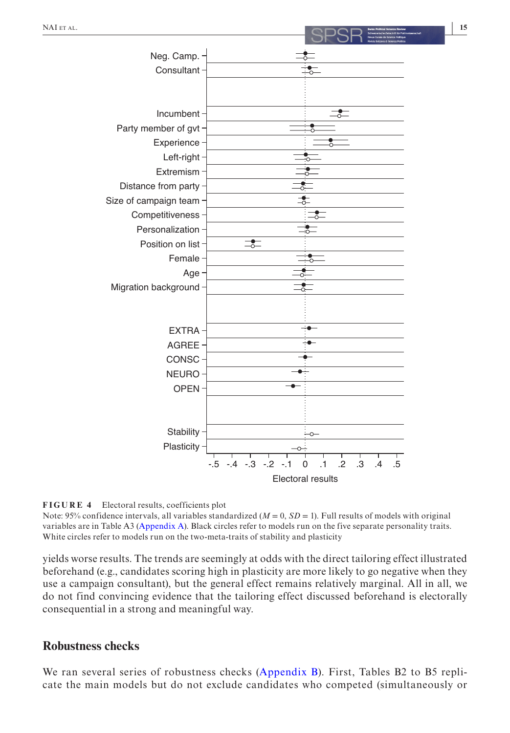

<span id="page-14-0"></span>

Note: 95% confidence intervals, all variables standardized  $(M = 0, SD = 1)$ . Full results of models with original variables are in Table A3 [\(Appendix A\)](#page-22-0). Black circles refer to models run on the five separate personality traits. White circles refer to models run on the two-meta-traits of stability and plasticity

yields worse results. The trends are seemingly at odds with the direct tailoring effect illustrated beforehand (e.g., candidates scoring high in plasticity are more likely to go negative when they use a campaign consultant), but the general effect remains relatively marginal. All in all, we do not find convincing evidence that the tailoring effect discussed beforehand is electorally consequential in a strong and meaningful way.

## **Robustness checks**

We ran several series of robustness checks ([Appendix B](#page-22-0)). First, Tables B2 to B5 replicate the main models but do not exclude candidates who competed (simultaneously or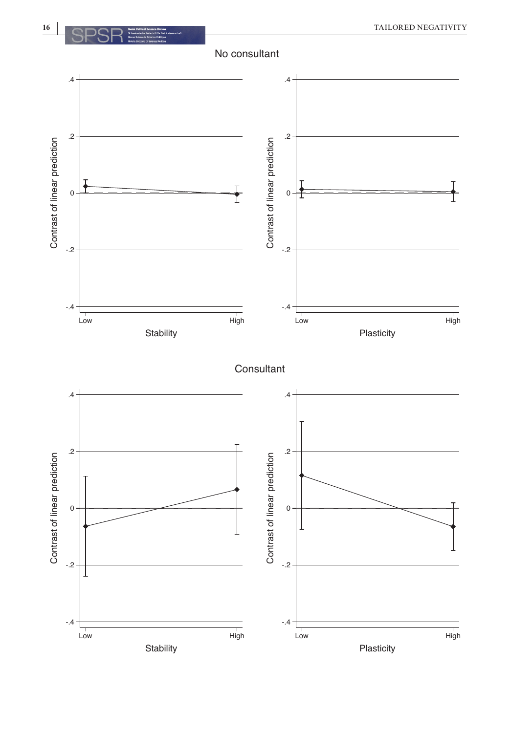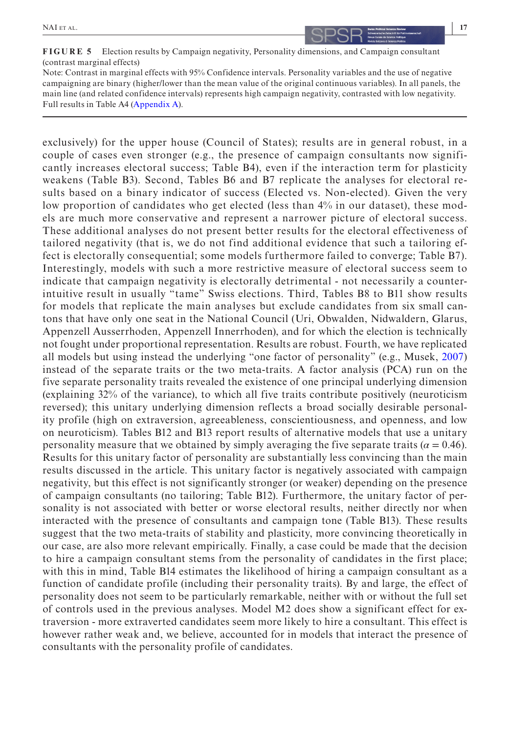<span id="page-16-0"></span>**FIGURE 5** Election results by Campaign negativity, Personality dimensions, and Campaign consultant (contrast marginal effects)

Note: Contrast in marginal effects with 95% Confidence intervals. Personality variables and the use of negative campaigning are binary (higher/lower than the mean value of the original continuous variables). In all panels, the main line (and related confidence intervals) represents high campaign negativity, contrasted with low negativity. Full results in Table A4 [\(Appendix A\)](#page-22-0).

exclusively) for the upper house (Council of States); results are in general robust, in a couple of cases even stronger (e.g., the presence of campaign consultants now significantly increases electoral success; Table B4), even if the interaction term for plasticity weakens (Table B3). Second, Tables B6 and B7 replicate the analyses for electoral results based on a binary indicator of success (Elected vs. Non-elected). Given the very low proportion of candidates who get elected (less than 4% in our dataset), these models are much more conservative and represent a narrower picture of electoral success. These additional analyses do not present better results for the electoral effectiveness of tailored negativity (that is, we do not find additional evidence that such a tailoring effect is electorally consequential; some models furthermore failed to converge; Table B7). Interestingly, models with such a more restrictive measure of electoral success seem to indicate that campaign negativity is electorally detrimental - not necessarily a counterintuitive result in usually "tame" Swiss elections. Third, Tables B8 to B11 show results for models that replicate the main analyses but exclude candidates from six small cantons that have only one seat in the National Council (Uri, Obwalden, Nidwaldern, Glarus, Appenzell Ausserrhoden, Appenzell Innerrhoden), and for which the election is technically not fought under proportional representation. Results are robust. Fourth, we have replicated all models but using instead the underlying "one factor of personality" (e.g., Musek, [2007\)](#page-20-27) instead of the separate traits or the two meta-traits. A factor analysis (PCA) run on the five separate personality traits revealed the existence of one principal underlying dimension (explaining 32% of the variance), to which all five traits contribute positively (neuroticism reversed); this unitary underlying dimension reflects a broad socially desirable personality profile (high on extraversion, agreeableness, conscientiousness, and openness, and low on neuroticism). Tables B12 and B13 report results of alternative models that use a unitary personality measure that we obtained by simply averaging the five separate traits ( $\alpha = 0.46$ ). Results for this unitary factor of personality are substantially less convincing than the main results discussed in the article. This unitary factor is negatively associated with campaign negativity, but this effect is not significantly stronger (or weaker) depending on the presence of campaign consultants (no tailoring; Table B12). Furthermore, the unitary factor of personality is not associated with better or worse electoral results, neither directly nor when interacted with the presence of consultants and campaign tone (Table B13). These results suggest that the two meta-traits of stability and plasticity, more convincing theoretically in our case, are also more relevant empirically. Finally, a case could be made that the decision to hire a campaign consultant stems from the personality of candidates in the first place; with this in mind, Table B14 estimates the likelihood of hiring a campaign consultant as a function of candidate profile (including their personality traits). By and large, the effect of personality does not seem to be particularly remarkable, neither with or without the full set of controls used in the previous analyses. Model M2 does show a significant effect for extraversion - more extraverted candidates seem more likely to hire a consultant. This effect is however rather weak and, we believe, accounted for in models that interact the presence of consultants with the personality profile of candidates.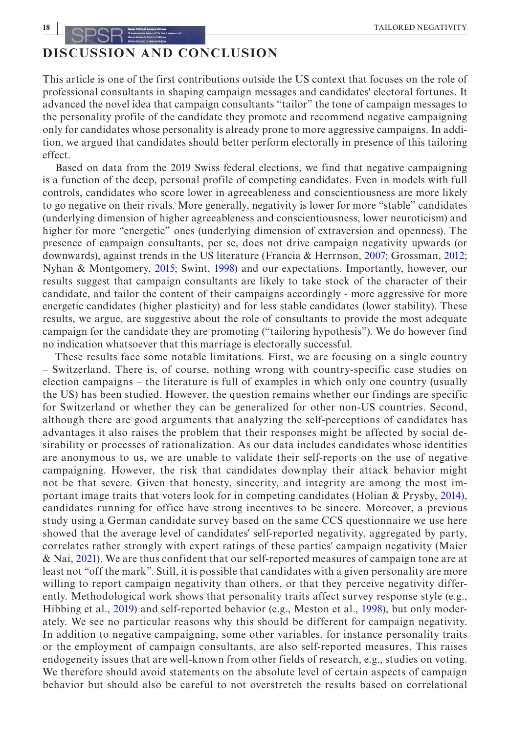## **DISCUSSION AND CONCLUSION**

This article is one of the first contributions outside the US context that focuses on the role of professional consultants in shaping campaign messages and candidates' electoral fortunes. It advanced the novel idea that campaign consultants "tailor" the tone of campaign messages to the personality profile of the candidate they promote and recommend negative campaigning only for candidates whose personality is already prone to more aggressive campaigns. In addition, we argued that candidates should better perform electorally in presence of this tailoring effect.

Based on data from the 2019 Swiss federal elections, we find that negative campaigning is a function of the deep, personal profile of competing candidates. Even in models with full controls, candidates who score lower in agreeableness and conscientiousness are more likely to go negative on their rivals. More generally, negativity is lower for more "stable" candidates (underlying dimension of higher agreeableness and conscientiousness, lower neuroticism) and higher for more "energetic" ones (underlying dimension of extraversion and openness). The presence of campaign consultants, per se, does not drive campaign negativity upwards (or downwards), against trends in the US literature (Francia & Herrnson, [2007](#page-19-7); Grossman, [2012](#page-20-3); Nyhan & Montgomery, [2015](#page-21-14); Swint, [1998\)](#page-21-5) and our expectations. Importantly, however, our results suggest that campaign consultants are likely to take stock of the character of their candidate, and tailor the content of their campaigns accordingly - more aggressive for more energetic candidates (higher plasticity) and for less stable candidates (lower stability). These results, we argue, are suggestive about the role of consultants to provide the most adequate campaign for the candidate they are promoting ("tailoring hypothesis"). We do however find no indication whatsoever that this marriage is electorally successful.

These results face some notable limitations. First, we are focusing on a single country – Switzerland. There is, of course, nothing wrong with country-specific case studies on election campaigns – the literature is full of examples in which only one country (usually the US) has been studied. However, the question remains whether our findings are specific for Switzerland or whether they can be generalized for other non-US countries. Second, although there are good arguments that analyzing the self-perceptions of candidates has advantages it also raises the problem that their responses might be affected by social desirability or processes of rationalization. As our data includes candidates whose identities are anonymous to us, we are unable to validate their self-reports on the use of negative campaigning. However, the risk that candidates downplay their attack behavior might not be that severe. Given that honesty, sincerity, and integrity are among the most important image traits that voters look for in competing candidates (Holian & Prysby, [2014](#page-20-28)), candidates running for office have strong incentives to be sincere. Moreover, a previous study using a German candidate survey based on the same CCS questionnaire we use here showed that the average level of candidates' self-reported negativity, aggregated by party, correlates rather strongly with expert ratings of these parties' campaign negativity (Maier & Nai, [2021\)](#page-20-14). We are thus confident that our self-reported measures of campaign tone are at least not "off the mark". Still, it is possible that candidates with a given personality are more willing to report campaign negativity than others, or that they perceive negativity differently. Methodological work shows that personality traits affect survey response style (e.g., Hibbing et al., [2019](#page-20-29)) and self-reported behavior (e.g., Meston et al., [1998](#page-20-30)), but only moderately. We see no particular reasons why this should be different for campaign negativity. In addition to negative campaigning, some other variables, for instance personality traits or the employment of campaign consultants, are also self-reported measures. This raises endogeneity issues that are well-known from other fields of research, e.g., studies on voting. We therefore should avoid statements on the absolute level of certain aspects of campaign behavior but should also be careful to not overstretch the results based on correlational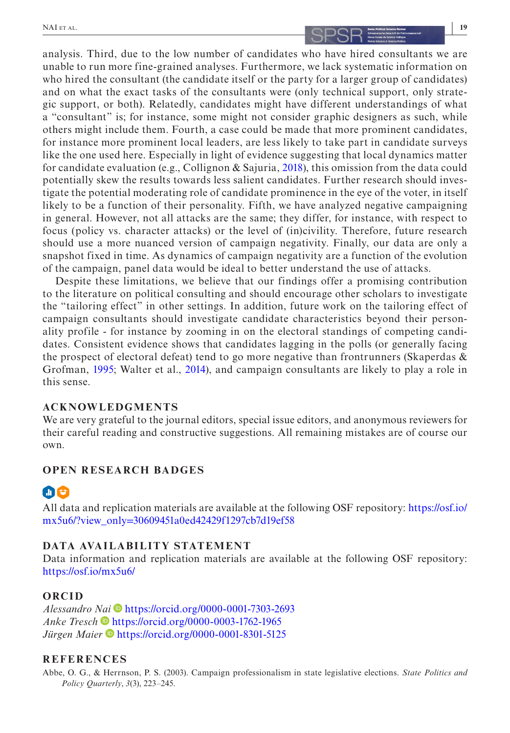# **| 19 | 19 | 19 | 19 | 19 | 19 | 19 | 19 | 19 | 199 | 199 | 199 | 199 | 199 | 199 | 199 | 199 | 199 | 199 | 199 | 199**

analysis. Third, due to the low number of candidates who have hired consultants we are unable to run more fine-grained analyses. Furthermore, we lack systematic information on who hired the consultant (the candidate itself or the party for a larger group of candidates) and on what the exact tasks of the consultants were (only technical support, only strategic support, or both). Relatedly, candidates might have different understandings of what a "consultant" is; for instance, some might not consider graphic designers as such, while others might include them. Fourth, a case could be made that more prominent candidates, for instance more prominent local leaders, are less likely to take part in candidate surveys like the one used here. Especially in light of evidence suggesting that local dynamics matter for candidate evaluation (e.g., Collignon & Sajuria, [2018\)](#page-19-26), this omission from the data could potentially skew the results towards less salient candidates. Further research should investigate the potential moderating role of candidate prominence in the eye of the voter, in itself likely to be a function of their personality. Fifth, we have analyzed negative campaigning in general. However, not all attacks are the same; they differ, for instance, with respect to focus (policy vs. character attacks) or the level of (in)civility. Therefore, future research should use a more nuanced version of campaign negativity. Finally, our data are only a snapshot fixed in time. As dynamics of campaign negativity are a function of the evolution of the campaign, panel data would be ideal to better understand the use of attacks.

Despite these limitations, we believe that our findings offer a promising contribution to the literature on political consulting and should encourage other scholars to investigate the "tailoring effect" in other settings. In addition, future work on the tailoring effect of campaign consultants should investigate candidate characteristics beyond their personality profile - for instance by zooming in on the electoral standings of competing candidates. Consistent evidence shows that candidates lagging in the polls (or generally facing the prospect of electoral defeat) tend to go more negative than frontrunners (Skaperdas  $\&$ Grofman, [1995;](#page-21-1) Walter et al., [2014](#page-21-30)), and campaign consultants are likely to play a role in this sense.

### **ACKNOWLEDGMENTS**

We are very grateful to the journal editors, special issue editors, and anonymous reviewers for their careful reading and constructive suggestions. All remaining mistakes are of course our own.

### **OPEN RESEARCH BADGES**

## $\blacksquare$ e

All data and replication materials are available at the following OSF repository: [https://osf.io/](https://osf.io/mx5u6/?view_only=30609451a0ed42429f1297cb7d19ef58) mx5u6/?view\_only=[30609451a0ed42429f1297cb7d19ef58](https://osf.io/mx5u6/?view_only=30609451a0ed42429f1297cb7d19ef58)

### **DATA AVAILABILITY STATEMENT**

Data information and replication materials are available at the following OSF repository: <https://osf.io/mx5u6/>

### **ORCID**

*Alessandro [Nai](https://orcid.org/0000-0003-1762-1965)* <https://orcid.org/0000-0001-7303-2693> *Anke Tresch* • <https://orcid.org/0000-0003-1762-1965> *Jürgen Maier* • <https://orcid.org/0000-0001-8301-5125>

### **REFERENCES**

<span id="page-18-0"></span>Abbe, O. G., & Herrnson, P. S. (2003). Campaign professionalism in state legislative elections. *State Politics and Policy Quarterly*, *3*(3), 223–245.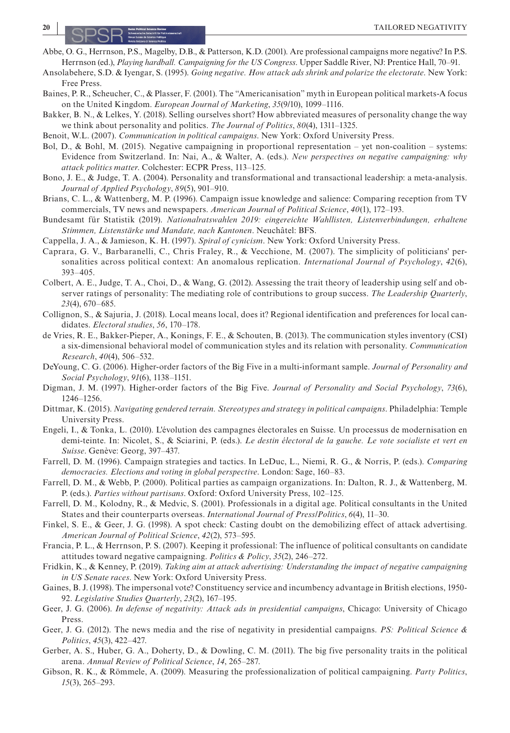- <span id="page-19-22"></span>Abbe, O. G., Herrnson, P.S., Magelby, D.B., & Patterson, K.D. (2001). Are professional campaigns more negative? In P.S. Herrnson (ed.), *Playing hardball. Campaigning for the US Congress*. Upper Saddle River, NJ: Prentice Hall, 70–91.
- <span id="page-19-1"></span>Ansolabehere, S.D. & Iyengar, S. (1995). *Going negative. How attack ads shrink and polarize the electorate*. New York: Free Press.
- <span id="page-19-23"></span>Baines, P. R., Scheucher, C., & Plasser, F. (2001). The "Americanisation" myth in European political markets-A focus on the United Kingdom. *European Journal of Marketing*, *35*(9/10), 1099–1116.
- <span id="page-19-24"></span>Bakker, B. N., & Lelkes, Y. (2018). Selling ourselves short? How abbreviated measures of personality change the way we think about personality and politics. *The Journal of Politics*, *80*(4), 1311–1325.
- <span id="page-19-5"></span>Benoit, W.L. (2007). *Communication in political campaigns*. New York: Oxford University Press.
- <span id="page-19-8"></span>Bol, D., & Bohl, M. (2015). Negative campaigning in proportional representation – yet non-coalition – systems: Evidence from Switzerland. In: Nai, A., & Walter, A. (eds.). *New perspectives on negative campaigning: why attack politics matter*. Colchester: ECPR Press, 113–125.
- <span id="page-19-20"></span>Bono, J. E., & Judge, T. A. (2004). Personality and transformational and transactional leadership: a meta-analysis. *Journal of Applied Psychology*, *89*(5), 901–910.
- <span id="page-19-4"></span>Brians, C. L., & Wattenberg, M. P. (1996). Campaign issue knowledge and salience: Comparing reception from TV commercials, TV news and newspapers. *American Journal of Political Science*, *40*(1), 172–193.
- Bundesamt für Statistik (2019). *Nationalratswahlen 2019: eingereichte Wahllisten, Listenverbindungen, erhaltene Stimmen, Listenstärke und Mandate, nach Kantonen*. Neuchâtel: BFS.
- <span id="page-19-2"></span>Cappella, J. A., & Jamieson, K. H. (1997). *Spiral of cynicism*. New York: Oxford University Press.
- <span id="page-19-18"></span>Caprara, G. V., Barbaranelli, C., Chris Fraley, R., & Vecchione, M. (2007). The simplicity of politicians' personalities across political context: An anomalous replication. *International Journal of Psychology*, *42*(6), 393–405.
- <span id="page-19-21"></span>Colbert, A. E., Judge, T. A., Choi, D., & Wang, G. (2012). Assessing the trait theory of leadership using self and observer ratings of personality: The mediating role of contributions to group success. *The Leadership Quarterly*, *23*(4), 670–685.
- <span id="page-19-26"></span>Collignon, S., & Sajuria, J. (2018). Local means local, does it? Regional identification and preferences for local candidates. *Electoral studies*, *56*, 170–178.
- <span id="page-19-19"></span>de Vries, R. E., Bakker-Pieper, A., Konings, F. E., & Schouten, B. (2013). The communication styles inventory (CSI) a six-dimensional behavioral model of communication styles and its relation with personality. *Communication Research*, *40*(4), 506–532.
- <span id="page-19-16"></span>DeYoung, C. G. (2006). Higher-order factors of the Big Five in a multi-informant sample. *Journal of Personality and Social Psychology*, *91*(6), 1138–1151.
- <span id="page-19-17"></span>Digman, J. M. (1997). Higher-order factors of the Big Five. *Journal of Personality and Social Psychology*, *73*(6), 1246–1256.
- <span id="page-19-14"></span>Dittmar, K. (2015). *Navigating gendered terrain. Stereotypes and strategy in political campaigns*. Philadelphia: Temple University Press.
- <span id="page-19-9"></span>Engeli, I., & Tonka, L. (2010). L'évolution des campagnes électorales en Suisse. Un processus de modernisation en demi-teinte. In: Nicolet, S., & Sciarini, P. (eds.). *Le destin électoral de la gauche. Le vote socialiste et vert en Suisse*. Genève: Georg, 397–437.
- <span id="page-19-10"></span>Farrell, D. M. (1996). Campaign strategies and tactics. In LeDuc, L., Niemi, R. G., & Norris, P. (eds.). *Comparing democracies. Elections and voting in global perspective*. London: Sage, 160–83.
- <span id="page-19-11"></span>Farrell, D. M., & Webb, P. (2000). Political parties as campaign organizations. In: Dalton, R. J., & Wattenberg, M. P. (eds.). *Parties without partisans*. Oxford: Oxford University Press, 102–125.
- <span id="page-19-12"></span>Farrell, D. M., Kolodny, R., & Medvic, S. (2001). Professionals in a digital age. Political consultants in the United States and their counterparts overseas. *International Journal of Press/Politics*, *6*(4), 11–30.
- <span id="page-19-3"></span>Finkel, S. E., & Geer, J. G. (1998). A spot check: Casting doubt on the demobilizing effect of attack advertising. *American Journal of Political Science*, *42*(2), 573–595.
- <span id="page-19-7"></span>Francia, P. L., & Herrnson, P. S. (2007). Keeping it professional: The influence of political consultants on candidate attitudes toward negative campaigning. *Politics & Policy*, *35*(2), 246–272.
- Fridkin, K., & Kenney, P. (2019). *Taking aim at attack advertising: Understanding the impact of negative campaigning in US Senate races*. New York: Oxford University Press.
- <span id="page-19-25"></span>Gaines, B. J. (1998). The impersonal vote? Constituency service and incumbency advantage in British elections, 1950- 92. *Legislative Studies Quarterly*, *23*(2), 167–195.
- <span id="page-19-0"></span>Geer, J. G. (2006). *In defense of negativity: Attack ads in presidential campaigns*, Chicago: University of Chicago Press.
- <span id="page-19-13"></span>Geer, J. G. (2012). The news media and the rise of negativity in presidential campaigns. *PS: Political Science & Politics*, *45*(3), 422–427.
- <span id="page-19-15"></span>Gerber, A. S., Huber, G. A., Doherty, D., & Dowling, C. M. (2011). The big five personality traits in the political arena. *Annual Review of Political Science*, *14*, 265–287.
- <span id="page-19-6"></span>Gibson, R. K., & Römmele, A. (2009). Measuring the professionalization of political campaigning. *Party Politics*, *15*(3), 265–293.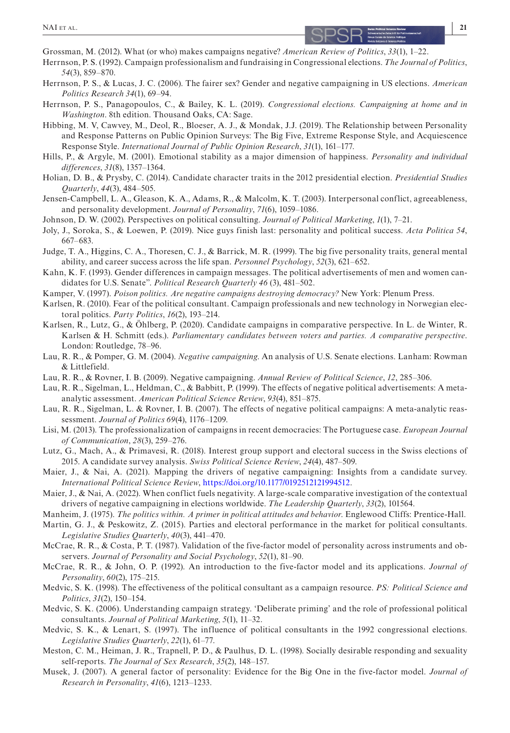- <span id="page-20-3"></span>Grossman, M. (2012). What (or who) makes campaigns negative? *American Review of Politics*, *33*(1), 1–22.
- <span id="page-20-5"></span>Herrnson, P. S. (1992). Campaign professionalism and fundraising in Congressional elections. *The Journal of Politics*, *54*(3), 859–870.
- <span id="page-20-24"></span>Herrnson, P. S., & Lucas, J. C. (2006). The fairer sex? Gender and negative campaigning in US elections. *American Politics Research 34*(1), 69–94.
- <span id="page-20-0"></span>Herrnson, P. S., Panagopoulos, C., & Bailey, K. L. (2019). *Congressional elections. Campaigning at home and in Washington*. 8th edition. Thousand Oaks, CA: Sage.
- <span id="page-20-29"></span>Hibbing, M. V, Cawvey, M., Deol, R., Bloeser, A. J., & Mondak, J.J. (2019). The Relationship between Personality and Response Patterns on Public Opinion Surveys: The Big Five, Extreme Response Style, and Acquiescence Response Style. *International Journal of Public Opinion Research*, *31*(1), 161–177.
- Hills, P., & Argyle, M. (2001). Emotional stability as a major dimension of happiness. *Personality and individual differences*, *31*(8), 1357–1364.
- <span id="page-20-28"></span>Holian, D. B., & Prysby, C. (2014). Candidate character traits in the 2012 presidential election. *Presidential Studies Quarterly*, *44*(3), 484–505.
- <span id="page-20-13"></span>Jensen-Campbell, L. A., Gleason, K. A., Adams, R., & Malcolm, K. T. (2003). Interpersonal conflict, agreeableness, and personality development. *Journal of Personality*, *71*(6), 1059–1086.
- <span id="page-20-4"></span>Johnson, D. W. (2002). Perspectives on political consulting. *Journal of Political Marketing*, *1*(1), 7–21.
- <span id="page-20-11"></span>Joly, J., Soroka, S., & Loewen, P. (2019). Nice guys finish last: personality and political success. *Acta Politica 54*, 667–683.
- <span id="page-20-15"></span>Judge, T. A., Higgins, C. A., Thoresen, C. J., & Barrick, M. R. (1999). The big five personality traits, general mental ability, and career success across the life span. *Personnel Psychology*, *52*(3), 621–652.
- <span id="page-20-25"></span>Kahn, K. F. (1993). Gender differences in campaign messages. The political advertisements of men and women candidates for U.S. Senate". *Political Research Quarterly 46* (3), 481–502.
- <span id="page-20-2"></span>Kamper, V. (1997). *Poison politics. Are negative campaigns destroying democracy?* New York: Plenum Press.
- <span id="page-20-6"></span>Karlsen, R. (2010). Fear of the political consultant. Campaign professionals and new technology in Norwegian electoral politics. *Party Politics*, *16*(2), 193–214.
- <span id="page-20-7"></span>Karlsen, R., Lutz, G., & Öhlberg, P. (2020). Candidate campaigns in comparative perspective. In L. de Winter, R. Karlsen & H. Schmitt (eds.). *Parliamentary candidates between voters and parties. A comparative perspective*. London: Routledge, 78–96.
- <span id="page-20-1"></span>Lau, R. R., & Pomper, G. M. (2004). *Negative campaigning*. An analysis of U.S. Senate elections. Lanham: Rowman & Littlefield.
- <span id="page-20-19"></span>Lau, R. R., & Rovner, I. B. (2009). Negative campaigning. *Annual Review of Political Science*, *12*, 285–306.
- <span id="page-20-17"></span>Lau, R. R., Sigelman, L., Heldman, C., & Babbitt, P. (1999). The effects of negative political advertisements: A metaanalytic assessment. *American Political Science Review*, *93*(4), 851–875.
- <span id="page-20-18"></span>Lau, R. R., Sigelman, L. & Rovner, I. B. (2007). The effects of negative political campaigns: A meta-analytic reassessment. *Journal of Politics 69*(4), 1176–1209.
- <span id="page-20-8"></span>Lisi, M. (2013). The professionalization of campaigns in recent democracies: The Portuguese case. *European Journal of Communication*, *28*(3), 259–276.
- <span id="page-20-23"></span>Lutz, G., Mach, A., & Primavesi, R. (2018). Interest group support and electoral success in the Swiss elections of 2015. A candidate survey analysis. *Swiss Political Science Review*, *24*(4), 487–509.
- <span id="page-20-14"></span>Maier, J., & Nai, A. (2021). Mapping the drivers of negative campaigning: Insights from a candidate survey. *International Political Science Review*, [https://doi.org/10.1177/0192512121994512.](https://doi.org/10.1177/0192512121994512)
- <span id="page-20-22"></span>Maier, J., & Nai, A. (2022). When conflict fuels negativity. A large-scale comparative investigation of the contextual drivers of negative campaigning in elections worldwide. *The Leadership Quarterly*, *33*(2), 101564.
- <span id="page-20-10"></span>Manheim, J. (1975). *The politics within. A primer in political attitudes and behavior*. Englewood Cliffs: Prentice-Hall.
- <span id="page-20-21"></span>Martin, G. J., & Peskowitz, Z. (2015). Parties and electoral performance in the market for political consultants. *Legislative Studies Quarterly*, *40*(3), 441–470.
- <span id="page-20-16"></span>McCrae, R. R., & Costa, P. T. (1987). Validation of the five-factor model of personality across instruments and observers. *Journal of Personality and Social Psychology*, *52*(1), 81–90.
- <span id="page-20-12"></span>McCrae, R. R., & John, O. P. (1992). An introduction to the five-factor model and its applications. *Journal of Personality*, *60*(2), 175–215.
- <span id="page-20-26"></span>Medvic, S. K. (1998). The effectiveness of the political consultant as a campaign resource. *PS: Political Science and Politics*, *31*(2), 150–154.
- <span id="page-20-9"></span>Medvic, S. K. (2006). Understanding campaign strategy. 'Deliberate priming' and the role of professional political consultants. *Journal of Political Marketing*, *5*(1), 11–32.
- <span id="page-20-20"></span>Medvic, S. K., & Lenart, S. (1997). The influence of political consultants in the 1992 congressional elections. *Legislative Studies Quarterly*, *22*(1), 61–77.
- <span id="page-20-30"></span>Meston, C. M., Heiman, J. R., Trapnell, P. D., & Paulhus, D. L. (1998). Socially desirable responding and sexuality self-reports. *The Journal of Sex Research*, *35*(2), 148–157.
- <span id="page-20-27"></span>Musek, J. (2007). A general factor of personality: Evidence for the Big One in the five-factor model. *Journal of Research in Personality*, *41*(6), 1213–1233.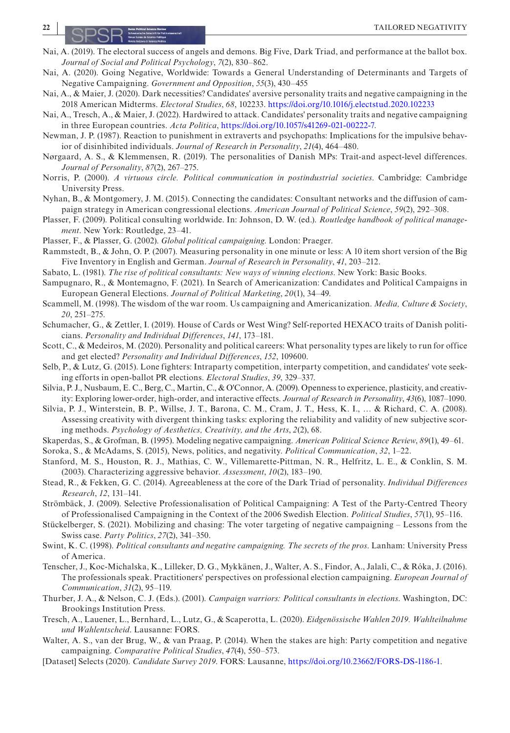- <span id="page-21-15"></span>Nai, A. (2019). The electoral success of angels and demons. Big Five, Dark Triad, and performance at the ballot box. *Journal of Social and Political Psychology*, *7*(2), 830–862.
- <span id="page-21-29"></span>Nai, A. (2020). Going Negative, Worldwide: Towards a General Understanding of Determinants and Targets of Negative Campaigning. *Government and Opposition*, *55*(3), 430–455
- <span id="page-21-2"></span>Nai, A., & Maier, J. (2020). Dark necessities? Candidates' aversive personality traits and negative campaigning in the 2018 American Midterms. *Electoral Studies*, *68*, 102233. <https://doi.org/10.1016/j.electstud.2020.102233>
- <span id="page-21-21"></span>Nai, A., Tresch, A., & Maier, J. (2022). Hardwired to attack. Candidates' personality traits and negative campaigning in three European countries. *Acta Politica*, [https://doi.org/10.1057/s41269-021-00222-7.](https://doi.org/10.1057/s41269-021-00222-7)
- <span id="page-21-20"></span>Newman, J. P. (1987). Reaction to punishment in extraverts and psychopaths: Implications for the impulsive behavior of disinhibited individuals. *Journal of Research in Personality*, *21*(4), 464–480.
- <span id="page-21-27"></span>Nørgaard, A. S., & Klemmensen, R. (2019). The personalities of Danish MPs: Trait-and aspect-level differences. *Journal of Personality*, *87*(2), 267–275.
- <span id="page-21-9"></span>Norris, P. (2000). *A virtuous circle. Political communication in postindustrial societies*. Cambridge: Cambridge University Press.
- <span id="page-21-14"></span>Nyhan, B., & Montgomery, J. M. (2015). Connecting the candidates: Consultant networks and the diffusion of campaign strategy in American congressional elections. *American Journal of Political Science*, *59*(2), 292–308.
- <span id="page-21-10"></span>Plasser, F. (2009). Political consulting worldwide. In: Johnson, D. W. (ed.). *Routledge handbook of political management*. New York: Routledge, 23–41.
- <span id="page-21-11"></span>Plasser, F., & Plasser, G. (2002). *Global political campaigning*. London: Praeger.
- <span id="page-21-26"></span>Rammstedt, B., & John, O. P. (2007). Measuring personality in one minute or less: A 10 item short version of the Big Five Inventory in English and German. *Journal of Research in Personality*, *41*, 203–212.
- <span id="page-21-23"></span>Sabato, L. (1981). *The rise of political consultants: New ways of winning elections*. New York: Basic Books.
- <span id="page-21-13"></span>Sampugnaro, R., & Montemagno, F. (2021). In Search of Americanization: Candidates and Political Campaigns in European General Elections. *Journal of Political Marketing*, *20*(1), 34–49.
- <span id="page-21-3"></span>Scammell, M. (1998). The wisdom of the war room. Us campaigning and Americanization. *Media, Culture & Society*, *20*, 251–275.
- <span id="page-21-28"></span>Schumacher, G., & Zettler, I. (2019). House of Cards or West Wing? Self-reported HEXACO traits of Danish politicians. *Personality and Individual Differences*, *141*, 173–181.
- <span id="page-21-22"></span>Scott, C., & Medeiros, M. (2020). Personality and political careers: What personality types are likely to run for office and get elected? *Personality and Individual Differences*, *152*, 109600.
- <span id="page-21-7"></span>Selb, P., & Lutz, G. (2015). Lone fighters: Intraparty competition, interparty competition, and candidates' vote seeking efforts in open-ballot PR elections. *Electoral Studies*, *39*, 329–337.
- <span id="page-21-17"></span>Silvia, P. J., Nusbaum, E. C., Berg, C., Martin, C., & O'Connor, A. (2009). Openness to experience, plasticity, and creativity: Exploring lower-order, high-order, and interactive effects. *Journal of Research in Personality*, *43*(6), 1087–1090.
- <span id="page-21-16"></span>Silvia, P. J., Winterstein, B. P., Willse, J. T., Barona, C. M., Cram, J. T., Hess, K. I., … & Richard, C. A. (2008). Assessing creativity with divergent thinking tasks: exploring the reliability and validity of new subjective scoring methods. *Psychology of Aesthetics, Creativity, and the Arts*, *2*(2), 68.
- <span id="page-21-1"></span>Skaperdas, S., & Grofman, B. (1995). Modeling negative campaigning. *American Political Science Review*, *89*(1), 49–61.
- <span id="page-21-0"></span>Soroka, S., & McAdams, S. (2015), News, politics, and negativity. *Political Communication*, *32*, 1–22.
- <span id="page-21-19"></span>Stanford, M. S., Houston, R. J., Mathias, C. W., Villemarette-Pittman, N. R., Helfritz, L. E., & Conklin, S. M. (2003). Characterizing aggressive behavior. *Assessment*, *10*(2), 183–190.
- <span id="page-21-18"></span>Stead, R., & Fekken, G. C. (2014). Agreeableness at the core of the Dark Triad of personality. *Individual Differences Research*, *12*, 131–141.
- <span id="page-21-12"></span>Strömbäck, J. (2009). Selective Professionalisation of Political Campaigning: A Test of the Party-Centred Theory of Professionalised Campaigning in the Context of the 2006 Swedish Election. *Political Studies*, *57*(1), 95–116.
- <span id="page-21-6"></span>Stückelberger, S. (2021). Mobilizing and chasing: The voter targeting of negative campaigning – Lessons from the Swiss case. *Party Politics*, *27*(2), 341–350.
- <span id="page-21-5"></span>Swint, K. C. (1998). *Political consultants and negative campaigning. The secrets of the pros*. Lanham: University Press of America.
- <span id="page-21-4"></span>Tenscher, J., Koc-Michalska, K., Lilleker, D. G., Mykkänen, J., Walter, A. S., Findor, A., Jalali, C., & Róka, J. (2016). The professionals speak. Practitioners' perspectives on professional election campaigning. *European Journal of Communication*, *31*(2), 95–119.
- <span id="page-21-24"></span>Thurber, J. A., & Nelson, C. J. (Eds.). (2001). *Campaign warriors: Political consultants in elections*. Washington, DC: Brookings Institution Press.
- <span id="page-21-8"></span>Tresch, A., Lauener, L., Bernhard, L., Lutz, G., & Scaperotta, L. (2020). *Eidgenössische Wahlen 2019. Wahlteilnahme und Wahlentscheid*. Lausanne: FORS.
- <span id="page-21-30"></span>Walter, A. S., van der Brug, W., & van Praag, P. (2014). When the stakes are high: Party competition and negative campaigning. *Comparative Political Studies*, *47*(4), 550–573.
- <span id="page-21-25"></span>[Dataset] Selects (2020). *Candidate Survey 2019*. FORS: Lausanne, <https://doi.org/10.23662/FORS-DS-1186-1>.